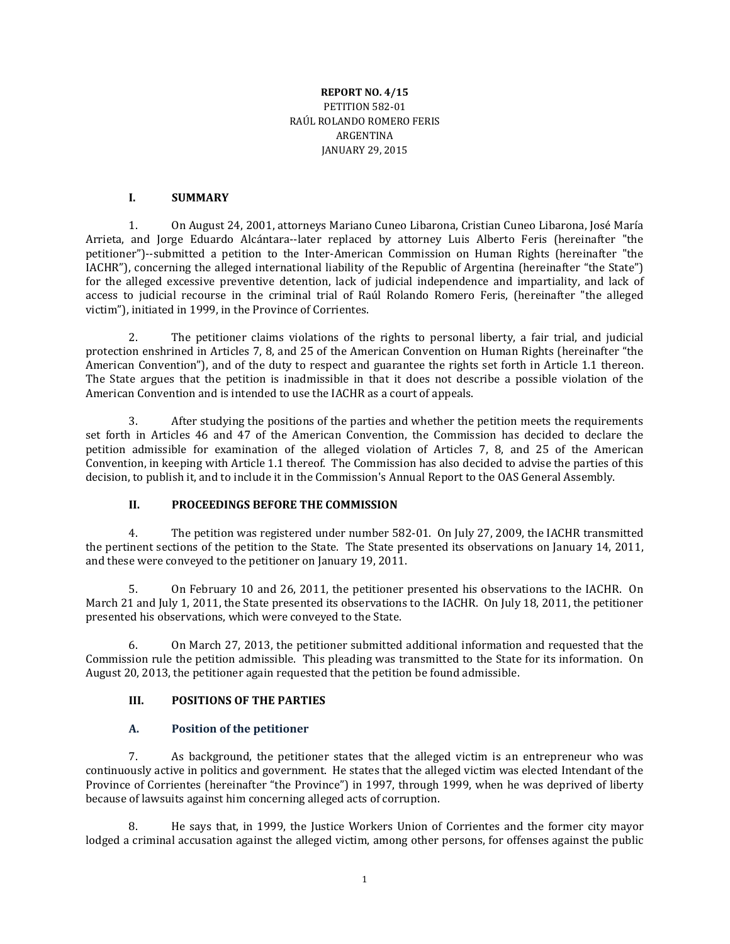### **REPORT NO. 4/15** PETITION 582-01 RAÚL ROLANDO ROMERO FERIS ARGENTINA JANUARY 29, 2015

### **I. SUMMARY**

1. On August 24, 2001, attorneys Mariano Cuneo Libarona, Cristian Cuneo Libarona, José María Arrieta, and Jorge Eduardo Alcántara--later replaced by attorney Luis Alberto Feris (hereinafter "the petitioner")--submitted a petition to the Inter-American Commission on Human Rights (hereinafter "the IACHR"), concerning the alleged international liability of the Republic of Argentina (hereinafter "the State") for the alleged excessive preventive detention, lack of judicial independence and impartiality, and lack of access to judicial recourse in the criminal trial of Raúl Rolando Romero Feris, (hereinafter "the alleged victim"), initiated in 1999, in the Province of Corrientes.

2. The petitioner claims violations of the rights to personal liberty, a fair trial, and judicial protection enshrined in Articles 7, 8, and 25 of the American Convention on Human Rights (hereinafter "the American Convention"), and of the duty to respect and guarantee the rights set forth in Article 1.1 thereon. The State argues that the petition is inadmissible in that it does not describe a possible violation of the American Convention and is intended to use the IACHR as a court of appeals.

3. After studying the positions of the parties and whether the petition meets the requirements set forth in Articles 46 and 47 of the American Convention, the Commission has decided to declare the petition admissible for examination of the alleged violation of Articles 7, 8, and 25 of the American Convention, in keeping with Article 1.1 thereof. The Commission has also decided to advise the parties of this decision, to publish it, and to include it in the Commission's Annual Report to the OAS General Assembly.

# **II. PROCEEDINGS BEFORE THE COMMISSION**

4. The petition was registered under number 582-01. On July 27, 2009, the IACHR transmitted the pertinent sections of the petition to the State. The State presented its observations on January 14, 2011, and these were conveyed to the petitioner on January 19, 2011.

5. On February 10 and 26, 2011, the petitioner presented his observations to the IACHR. On March 21 and July 1, 2011, the State presented its observations to the IACHR. On July 18, 2011, the petitioner presented his observations, which were conveyed to the State.

6. On March 27, 2013, the petitioner submitted additional information and requested that the Commission rule the petition admissible. This pleading was transmitted to the State for its information. On August 20, 2013, the petitioner again requested that the petition be found admissible.

#### **III. POSITIONS OF THE PARTIES**

#### **A. Position of the petitioner**

7. As background, the petitioner states that the alleged victim is an entrepreneur who was continuously active in politics and government. He states that the alleged victim was elected Intendant of the Province of Corrientes (hereinafter "the Province") in 1997, through 1999, when he was deprived of liberty because of lawsuits against him concerning alleged acts of corruption.

8. He says that, in 1999, the Justice Workers Union of Corrientes and the former city mayor lodged a criminal accusation against the alleged victim, among other persons, for offenses against the public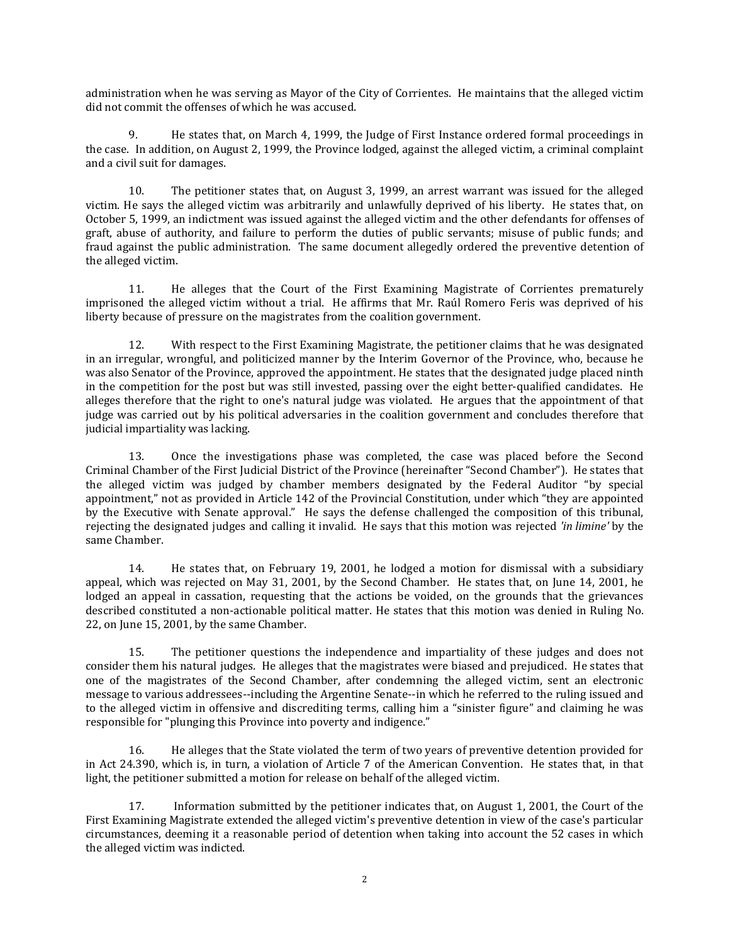administration when he was serving as Mayor of the City of Corrientes. He maintains that the alleged victim did not commit the offenses of which he was accused.

9. He states that, on March 4, 1999, the Judge of First Instance ordered formal proceedings in the case. In addition, on August 2, 1999, the Province lodged, against the alleged victim, a criminal complaint and a civil suit for damages.

10. The petitioner states that, on August 3, 1999, an arrest warrant was issued for the alleged victim. He says the alleged victim was arbitrarily and unlawfully deprived of his liberty. He states that, on October 5, 1999, an indictment was issued against the alleged victim and the other defendants for offenses of graft, abuse of authority, and failure to perform the duties of public servants; misuse of public funds; and fraud against the public administration. The same document allegedly ordered the preventive detention of the alleged victim.

11. He alleges that the Court of the First Examining Magistrate of Corrientes prematurely imprisoned the alleged victim without a trial. He affirms that Mr. Raúl Romero Feris was deprived of his liberty because of pressure on the magistrates from the coalition government.

12. With respect to the First Examining Magistrate, the petitioner claims that he was designated in an irregular, wrongful, and politicized manner by the Interim Governor of the Province, who, because he was also Senator of the Province, approved the appointment. He states that the designated judge placed ninth in the competition for the post but was still invested, passing over the eight better-qualified candidates. He alleges therefore that the right to one's natural judge was violated. He argues that the appointment of that judge was carried out by his political adversaries in the coalition government and concludes therefore that judicial impartiality was lacking.

13. Once the investigations phase was completed, the case was placed before the Second Criminal Chamber of the First Judicial District of the Province (hereinafter "Second Chamber"). He states that the alleged victim was judged by chamber members designated by the Federal Auditor "by special appointment," not as provided in Article 142 of the Provincial Constitution, under which "they are appointed by the Executive with Senate approval." He says the defense challenged the composition of this tribunal, rejecting the designated judges and calling it invalid. He says that this motion was rejected *'in limine'* by the same Chamber.

14. He states that, on February 19, 2001, he lodged a motion for dismissal with a subsidiary appeal, which was rejected on May 31, 2001, by the Second Chamber. He states that, on June 14, 2001, he lodged an appeal in cassation, requesting that the actions be voided, on the grounds that the grievances described constituted a non-actionable political matter. He states that this motion was denied in Ruling No. 22, on June 15, 2001, by the same Chamber.

15. The petitioner questions the independence and impartiality of these judges and does not consider them his natural judges. He alleges that the magistrates were biased and prejudiced. He states that one of the magistrates of the Second Chamber, after condemning the alleged victim, sent an electronic message to various addressees--including the Argentine Senate--in which he referred to the ruling issued and to the alleged victim in offensive and discrediting terms, calling him a "sinister figure" and claiming he was responsible for "plunging this Province into poverty and indigence."

16. He alleges that the State violated the term of two years of preventive detention provided for in Act 24.390, which is, in turn, a violation of Article 7 of the American Convention. He states that, in that light, the petitioner submitted a motion for release on behalf of the alleged victim.

17. Information submitted by the petitioner indicates that, on August 1, 2001, the Court of the First Examining Magistrate extended the alleged victim's preventive detention in view of the case's particular circumstances, deeming it a reasonable period of detention when taking into account the 52 cases in which the alleged victim was indicted.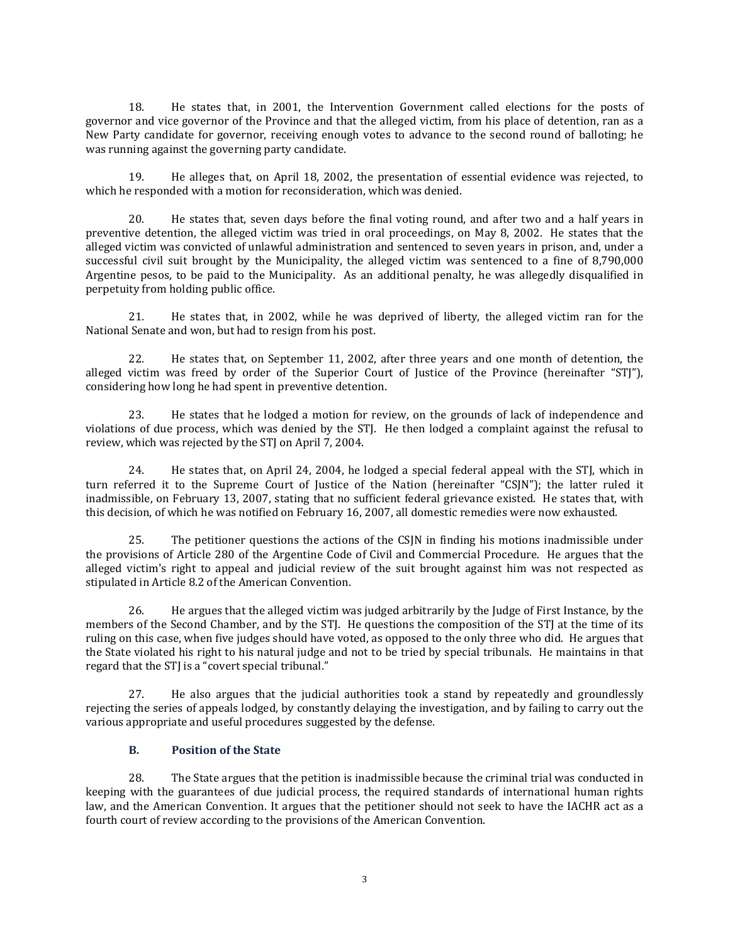18. He states that, in 2001, the Intervention Government called elections for the posts of governor and vice governor of the Province and that the alleged victim, from his place of detention, ran as a New Party candidate for governor, receiving enough votes to advance to the second round of balloting; he was running against the governing party candidate.

19. He alleges that, on April 18, 2002, the presentation of essential evidence was rejected, to which he responded with a motion for reconsideration, which was denied.

20. He states that, seven days before the final voting round, and after two and a half years in preventive detention, the alleged victim was tried in oral proceedings, on May 8, 2002. He states that the alleged victim was convicted of unlawful administration and sentenced to seven years in prison, and, under a successful civil suit brought by the Municipality, the alleged victim was sentenced to a fine of 8,790,000 Argentine pesos, to be paid to the Municipality. As an additional penalty, he was allegedly disqualified in perpetuity from holding public office.

21. He states that, in 2002, while he was deprived of liberty, the alleged victim ran for the National Senate and won, but had to resign from his post.

22. He states that, on September 11, 2002, after three years and one month of detention, the alleged victim was freed by order of the Superior Court of Justice of the Province (hereinafter "STJ"), considering how long he had spent in preventive detention.

23. He states that he lodged a motion for review, on the grounds of lack of independence and violations of due process, which was denied by the STJ. He then lodged a complaint against the refusal to review, which was rejected by the STJ on April 7, 2004.

24. He states that, on April 24, 2004, he lodged a special federal appeal with the STJ, which in turn referred it to the Supreme Court of Justice of the Nation (hereinafter "CSJN"); the latter ruled it inadmissible, on February 13, 2007, stating that no sufficient federal grievance existed. He states that, with this decision, of which he was notified on February 16, 2007, all domestic remedies were now exhausted.

25. The petitioner questions the actions of the CSJN in finding his motions inadmissible under the provisions of Article 280 of the Argentine Code of Civil and Commercial Procedure. He argues that the alleged victim's right to appeal and judicial review of the suit brought against him was not respected as stipulated in Article 8.2 of the American Convention.

26. He argues that the alleged victim was judged arbitrarily by the Judge of First Instance, by the members of the Second Chamber, and by the STJ. He questions the composition of the STJ at the time of its ruling on this case, when five judges should have voted, as opposed to the only three who did. He argues that the State violated his right to his natural judge and not to be tried by special tribunals. He maintains in that regard that the STJ is a "covert special tribunal."

27. He also argues that the judicial authorities took a stand by repeatedly and groundlessly rejecting the series of appeals lodged, by constantly delaying the investigation, and by failing to carry out the various appropriate and useful procedures suggested by the defense.

#### **B. Position of the State**

28. The State argues that the petition is inadmissible because the criminal trial was conducted in keeping with the guarantees of due judicial process, the required standards of international human rights law, and the American Convention. It argues that the petitioner should not seek to have the IACHR act as a fourth court of review according to the provisions of the American Convention.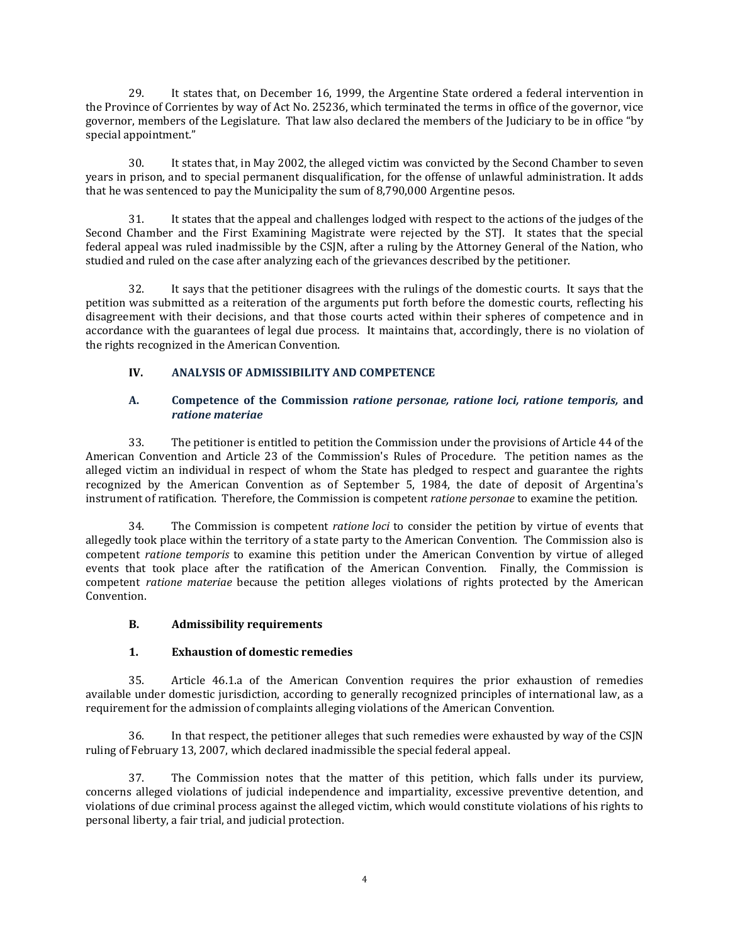29. It states that, on December 16, 1999, the Argentine State ordered a federal intervention in the Province of Corrientes by way of Act No. 25236, which terminated the terms in office of the governor, vice governor, members of the Legislature. That law also declared the members of the Judiciary to be in office "by special appointment."

30. It states that, in May 2002, the alleged victim was convicted by the Second Chamber to seven years in prison, and to special permanent disqualification, for the offense of unlawful administration. It adds that he was sentenced to pay the Municipality the sum of 8,790,000 Argentine pesos.

31. It states that the appeal and challenges lodged with respect to the actions of the judges of the Second Chamber and the First Examining Magistrate were rejected by the STJ. It states that the special federal appeal was ruled inadmissible by the CSJN, after a ruling by the Attorney General of the Nation, who studied and ruled on the case after analyzing each of the grievances described by the petitioner.

32. It says that the petitioner disagrees with the rulings of the domestic courts. It says that the petition was submitted as a reiteration of the arguments put forth before the domestic courts, reflecting his disagreement with their decisions, and that those courts acted within their spheres of competence and in accordance with the guarantees of legal due process. It maintains that, accordingly, there is no violation of the rights recognized in the American Convention.

# **IV. ANALYSIS OF ADMISSIBILITY AND COMPETENCE**

### **A. Competence of the Commission** *ratione personae, ratione loci, ratione temporis,* **and** *ratione materiae*

33. The petitioner is entitled to petition the Commission under the provisions of Article 44 of the American Convention and Article 23 of the Commission's Rules of Procedure. The petition names as the alleged victim an individual in respect of whom the State has pledged to respect and guarantee the rights recognized by the American Convention as of September 5, 1984, the date of deposit of Argentina's instrument of ratification. Therefore, the Commission is competent *ratione personae* to examine the petition.

34. The Commission is competent *ratione loci* to consider the petition by virtue of events that allegedly took place within the territory of a state party to the American Convention. The Commission also is competent *ratione temporis* to examine this petition under the American Convention by virtue of alleged events that took place after the ratification of the American Convention. Finally, the Commission is competent *ratione materiae* because the petition alleges violations of rights protected by the American Convention.

# **B. Admissibility requirements**

# **1. Exhaustion of domestic remedies**

35. Article 46.1.a of the American Convention requires the prior exhaustion of remedies available under domestic jurisdiction, according to generally recognized principles of international law, as a requirement for the admission of complaints alleging violations of the American Convention.

36. In that respect, the petitioner alleges that such remedies were exhausted by way of the CSJN ruling of February 13, 2007, which declared inadmissible the special federal appeal.

37. The Commission notes that the matter of this petition, which falls under its purview, concerns alleged violations of judicial independence and impartiality, excessive preventive detention, and violations of due criminal process against the alleged victim, which would constitute violations of his rights to personal liberty, a fair trial, and judicial protection.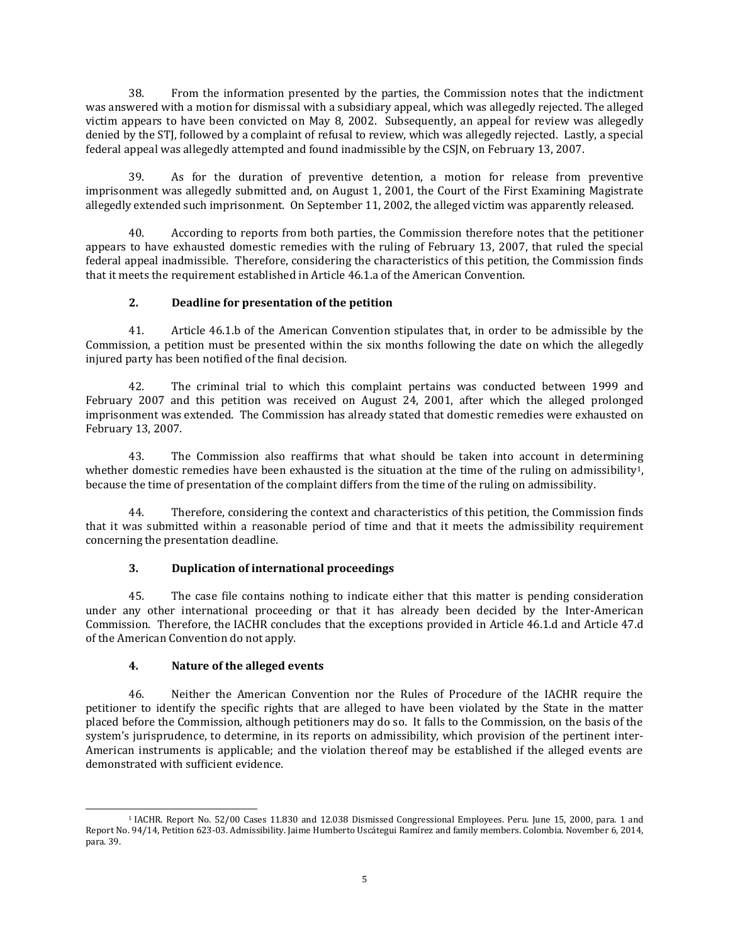38. From the information presented by the parties, the Commission notes that the indictment was answered with a motion for dismissal with a subsidiary appeal, which was allegedly rejected. The alleged victim appears to have been convicted on May 8, 2002. Subsequently, an appeal for review was allegedly denied by the STJ, followed by a complaint of refusal to review, which was allegedly rejected. Lastly, a special federal appeal was allegedly attempted and found inadmissible by the CSJN, on February 13, 2007.

39. As for the duration of preventive detention, a motion for release from preventive imprisonment was allegedly submitted and, on August 1, 2001, the Court of the First Examining Magistrate allegedly extended such imprisonment. On September 11, 2002, the alleged victim was apparently released.

40. According to reports from both parties, the Commission therefore notes that the petitioner appears to have exhausted domestic remedies with the ruling of February 13, 2007, that ruled the special federal appeal inadmissible. Therefore, considering the characteristics of this petition, the Commission finds that it meets the requirement established in Article 46.1.a of the American Convention.

### **2. Deadline for presentation of the petition**

41. Article 46.1.b of the American Convention stipulates that, in order to be admissible by the Commission, a petition must be presented within the six months following the date on which the allegedly injured party has been notified of the final decision.

42. The criminal trial to which this complaint pertains was conducted between 1999 and February 2007 and this petition was received on August 24, 2001, after which the alleged prolonged imprisonment was extended. The Commission has already stated that domestic remedies were exhausted on February 13, 2007.

43. The Commission also reaffirms that what should be taken into account in determining whether domestic remedies have been exhausted is the situation at the time of the ruling on admissibility<sup>1</sup>, because the time of presentation of the complaint differs from the time of the ruling on admissibility.

44. Therefore, considering the context and characteristics of this petition, the Commission finds that it was submitted within a reasonable period of time and that it meets the admissibility requirement concerning the presentation deadline.

# **3. Duplication of international proceedings**

45. The case file contains nothing to indicate either that this matter is pending consideration under any other international proceeding or that it has already been decided by the Inter-American Commission. Therefore, the IACHR concludes that the exceptions provided in Article 46.1.d and Article 47.d of the American Convention do not apply.

#### **4. Nature of the alleged events**

46. Neither the American Convention nor the Rules of Procedure of the IACHR require the petitioner to identify the specific rights that are alleged to have been violated by the State in the matter placed before the Commission, although petitioners may do so. It falls to the Commission, on the basis of the system's jurisprudence, to determine, in its reports on admissibility, which provision of the pertinent inter-American instruments is applicable; and the violation thereof may be established if the alleged events are demonstrated with sufficient evidence.

 $\overline{\phantom{a}}$ <sup>1</sup> IACHR. Report No. 52/00 Cases 11.830 and 12.038 Dismissed Congressional Employees. Peru. June 15, 2000, para. 1 and Report No. 94/14, Petition 623-03. Admissibility. Jaime Humberto Uscátegui Ramírez and family members. Colombia. November 6, 2014, para. 39.